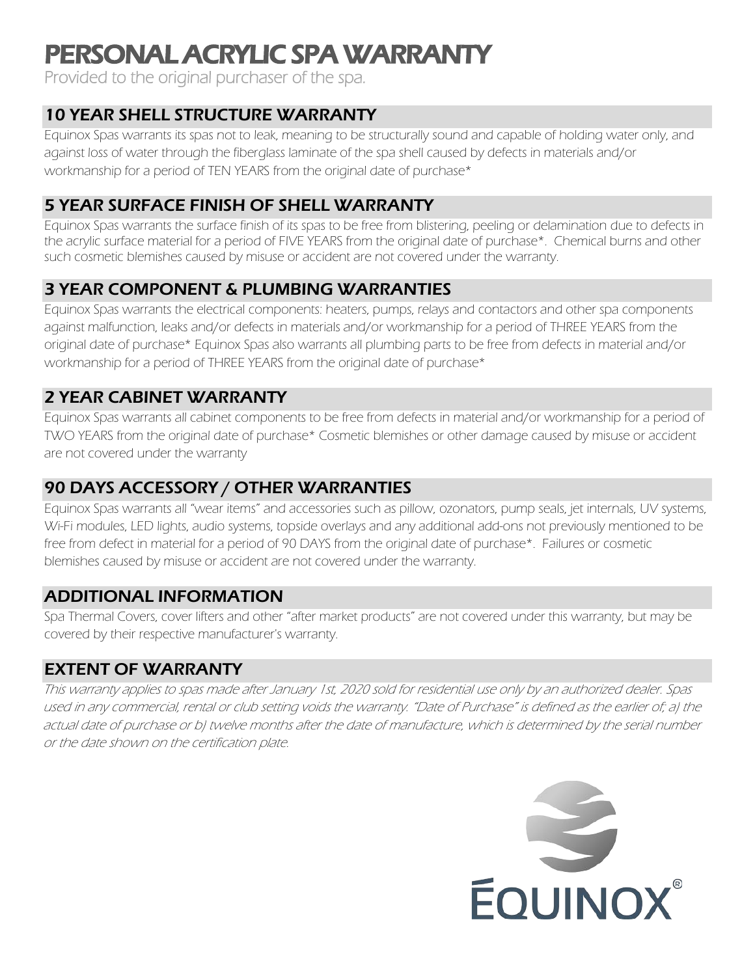# PERSONAL ACRYLIC SPA WARRANTY<br>Provided to the original purchaser of the spa.

# 10 YEAR SHELL STRUCTURE WARRANTY

Equinox Spas warrants its spas not to leak, meaning to be structurally sound and capable of holding water only, and against loss of water through the fiberglass laminate of the spa shell caused by defects in materials and/or workmanship for a period of TEN YEARS from the original date of purchase\*

## 5 YEAR SURFACE FINISH OF SHELL WARRANTY

Equinox Spas warrants the surface finish of its spas to be free from blistering, peeling or delamination due to defects in the acrylic surface material for a period of FIVE YEARS from the original date of purchase\*. Chemical burns and other such cosmetic blemishes caused by misuse or accident are not covered under the warranty.

## 3 YEAR COMPONENT & PLUMBING WARRANTIES

Equinox Spas warrants the electrical components: heaters, pumps, relays and contactors and other spa components against malfunction, leaks and/or defects in materials and/or workmanship for a period of THREE YEARS from the original date of purchase\* Equinox Spas also warrants all plumbing parts to be free from defects in material and/or workmanship for a period of THREE YEARS from the original date of purchase\*

# 2 YEAR CABINET WARRANTY

Equinox Spas warrants all cabinet components to be free from defects in material and/or workmanship for a period of TWO YEARS from the original date of purchase\* Cosmetic blemishes or other damage caused by misuse or accident are not covered under the warranty

# 90 DAYS ACCESSORY / OTHER WARRANTIES

Equinox Spas warrants all "wear items" and accessories such as pillow, ozonators, pump seals, jet internals, UV systems, Wi-Fi modules, LED lights, audio systems, topside overlays and any additional add-ons not previously mentioned to be free from defect in material for a period of 90 DAYS from the original date of purchase\*. Failures or cosmetic blemishes caused by misuse or accident are not covered under the warranty.

#### ADDITIONAL INFORMATION

Spa Thermal Covers, cover lifters and other "after market products" are not covered under this warranty, but may be covered by their respective manufacturer's warranty.

#### EXTENT OF WARRANTY

This warranty applies to spas made after January 1st, 2020 sold for residential use only by an authorized dealer. Spas used in any commercial, rental or club setting voids the warranty. "Date of Purchase" is defined as the earlier of; a) the actual date of purchase or b) twelve months after the date of manufacture, which is determined by the serial number or the date shown on the certification plate.